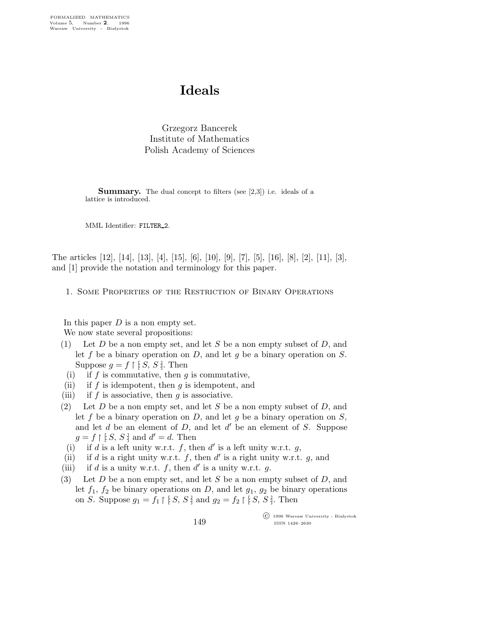# Ideals

Grzegorz Bancerek Institute of Mathematics Polish Academy of Sciences

Summary. The dual concept to filters (see [2,3]) i.e. ideals of a lattice is introduced.

MML Identifier: FILTER 2.

The articles [12], [14], [13], [4], [15], [6], [10], [9], [7], [5], [16], [8], [2], [11], [3], and [1] provide the notation and terminology for this paper.

1. Some Properties of the Restriction of Binary Operations

In this paper  $D$  is a non empty set. We now state several propositions:

- (1) Let  $D$  be a non empty set, and let  $S$  be a non empty subset of  $D$ , and let f be a binary operation on D, and let g be a binary operation on  $S$ . Suppose  $g = f \restriction [S, S:].$  Then
- (i) if f is commutative, then  $g$  is commutative,
- (ii) if f is idempotent, then  $q$  is idempotent, and
- (iii) if  $f$  is associative, then  $g$  is associative.
- (2) Let D be a non empty set, and let S be a non empty subset of D, and let f be a binary operation on  $D$ , and let g be a binary operation on  $S$ , and let  $d$  be an element of  $D$ , and let  $d'$  be an element of  $S$ . Suppose  $g = f \upharpoonright [S, S]$  and  $d' = d$ . Then
- (i) if d is a left unity w.r.t. f, then d' is a left unity w.r.t. g,
- (ii) if d is a right unity w.r.t. f, then d' is a right unity w.r.t. g, and
- (iii) if d is a unity w.r.t. f, then d' is a unity w.r.t. g.
- (3) Let  $D$  be a non empty set, and let  $S$  be a non empty subset of  $D$ , and let  $f_1$ ,  $f_2$  be binary operations on D, and let  $g_1$ ,  $g_2$  be binary operations on S. Suppose  $g_1 = f_1 \upharpoonright [S, S]$  and  $g_2 = f_2 \upharpoonright [S, S]$ . Then

 $\overline{\text{C}}$  1996 Warsaw University - Białystok ISSN 1426–2630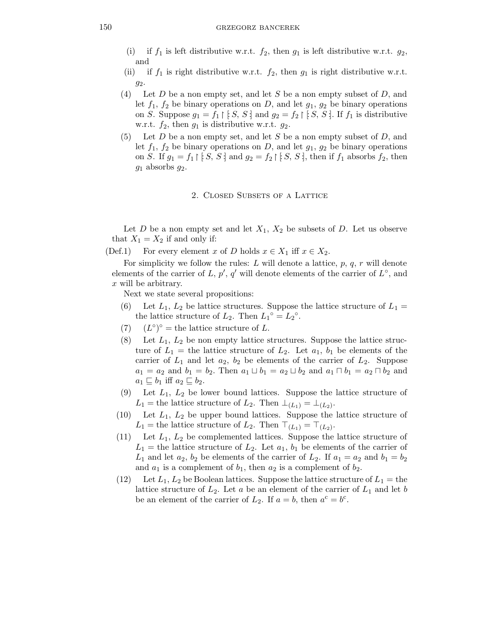- (i) if  $f_1$  is left distributive w.r.t.  $f_2$ , then  $g_1$  is left distributive w.r.t.  $g_2$ , and
- (ii) if  $f_1$  is right distributive w.r.t.  $f_2$ , then  $g_1$  is right distributive w.r.t. g2.
- (4) Let D be a non empty set, and let S be a non empty subset of D, and let  $f_1$ ,  $f_2$  be binary operations on D, and let  $g_1$ ,  $g_2$  be binary operations on S. Suppose  $g_1 = f_1 \upharpoonright [S, S]$  and  $g_2 = f_2 \upharpoonright [S, S]$ . If  $f_1$  is distributive w.r.t.  $f_2$ , then  $g_1$  is distributive w.r.t.  $g_2$ .
- (5) Let  $D$  be a non empty set, and let  $S$  be a non empty subset of  $D$ , and let  $f_1$ ,  $f_2$  be binary operations on D, and let  $g_1$ ,  $g_2$  be binary operations on S. If  $g_1 = f_1 \upharpoonright [S, S]$  and  $g_2 = f_2 \upharpoonright [S, S]$ , then if  $f_1$  absorbs  $f_2$ , then  $g_1$  absorbs  $g_2$ .

### 2. Closed Subsets of a Lattice

Let  $D$  be a non empty set and let  $X_1, X_2$  be subsets of  $D$ . Let us observe that  $X_1 = X_2$  if and only if:

(Def.1) For every element x of D holds  $x \in X_1$  iff  $x \in X_2$ .

For simplicity we follow the rules: L will denote a lattice,  $p, q, r$  will denote elements of the carrier of L,  $p'$ ,  $q'$  will denote elements of the carrier of  $L^{\circ}$ , and x will be arbitrary.

Next we state several propositions:

- (6) Let  $L_1, L_2$  be lattice structures. Suppose the lattice structure of  $L_1 =$ the lattice structure of  $L_2$ . Then  $L_1^{\circ} = L_2^{\circ}$ .
- (7)  $(L^{\circ})^{\circ}$  = the lattice structure of L.
- (8) Let  $L_1$ ,  $L_2$  be non empty lattice structures. Suppose the lattice structure of  $L_1$  = the lattice structure of  $L_2$ . Let  $a_1$ ,  $b_1$  be elements of the carrier of  $L_1$  and let  $a_2$ ,  $b_2$  be elements of the carrier of  $L_2$ . Suppose  $a_1 = a_2$  and  $b_1 = b_2$ . Then  $a_1 \sqcup b_1 = a_2 \sqcup b_2$  and  $a_1 \sqcap b_1 = a_2 \sqcap b_2$  and  $a_1 \sqsubseteq b_1$  iff  $a_2 \sqsubseteq b_2$ .
- (9) Let  $L_1$ ,  $L_2$  be lower bound lattices. Suppose the lattice structure of  $L_1$  = the lattice structure of  $L_2$ . Then  $\perp_{(L_1)} = \perp_{(L_2)}$ .
- (10) Let  $L_1$ ,  $L_2$  be upper bound lattices. Suppose the lattice structure of L<sub>1</sub> = the lattice structure of L<sub>2</sub>. Then  $\top_{(L_1)} = \top_{(L_2)}$ .
- (11) Let  $L_1$ ,  $L_2$  be complemented lattices. Suppose the lattice structure of  $L_1$  = the lattice structure of  $L_2$ . Let  $a_1, b_1$  be elements of the carrier of  $L_1$  and let  $a_2$ ,  $b_2$  be elements of the carrier of  $L_2$ . If  $a_1 = a_2$  and  $b_1 = b_2$ and  $a_1$  is a complement of  $b_1$ , then  $a_2$  is a complement of  $b_2$ .
- (12) Let  $L_1, L_2$  be Boolean lattices. Suppose the lattice structure of  $L_1 =$  the lattice structure of  $L_2$ . Let a be an element of the carrier of  $L_1$  and let b be an element of the carrier of  $L_2$ . If  $a = b$ , then  $a^c = b^c$ .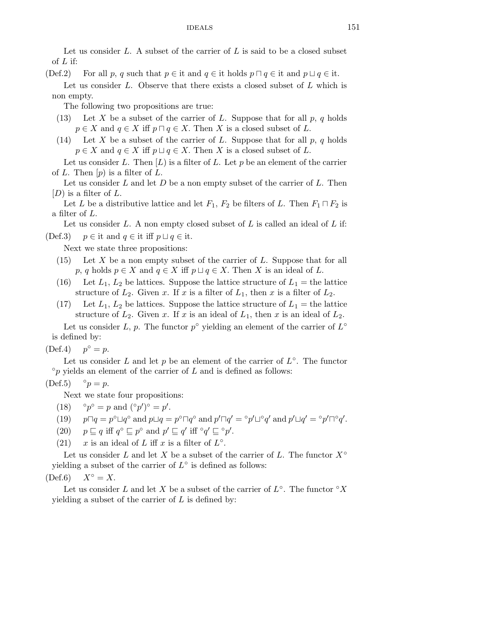Let us consider  $L$ . A subset of the carrier of  $L$  is said to be a closed subset of  $L$  if:

(Def.2) For all p, q such that  $p \in \text{it}$  and  $q \in \text{it}$  holds  $p \sqcap q \in \text{it}$  and  $p \sqcup q \in \text{it}$ .

Let us consider  $L$ . Observe that there exists a closed subset of  $L$  which is non empty.

The following two propositions are true:

- (13) Let X be a subset of the carrier of L. Suppose that for all  $p, q$  holds  $p \in X$  and  $q \in X$  iff  $p \cap q \in X$ . Then X is a closed subset of L.
- (14) Let X be a subset of the carrier of L. Suppose that for all  $p, q$  holds  $p \in X$  and  $q \in X$  iff  $p \sqcup q \in X$ . Then X is a closed subset of L.

Let us consider L. Then  $[L]$  is a filter of L. Let p be an element of the carrier of L. Then  $[p]$  is a filter of L.

Let us consider L and let D be a non empty subset of the carrier of L. Then  $[D]$  is a filter of L.

Let L be a distributive lattice and let  $F_1$ ,  $F_2$  be filters of L. Then  $F_1 \sqcap F_2$  is a filter of L.

Let us consider  $L$ . A non empty closed subset of  $L$  is called an ideal of  $L$  if: (Def.3)  $p \in \text{it and } q \in \text{it iff } p \sqcup q \in \text{it.}$ 

Next we state three propositions:

- $(15)$  Let X be a non empty subset of the carrier of L. Suppose that for all p, q holds  $p \in X$  and  $q \in X$  iff  $p \sqcup q \in X$ . Then X is an ideal of L.
- (16) Let  $L_1, L_2$  be lattices. Suppose the lattice structure of  $L_1$  = the lattice structure of  $L_2$ . Given x. If x is a filter of  $L_1$ , then x is a filter of  $L_2$ .
- (17) Let  $L_1, L_2$  be lattices. Suppose the lattice structure of  $L_1$  = the lattice structure of  $L_2$ . Given x. If x is an ideal of  $L_1$ , then x is an ideal of  $L_2$ .

Let us consider L, p. The functor  $p^{\circ}$  yielding an element of the carrier of  $L^{\circ}$ is defined by:

 $(Def.4)$  $p^{\circ} = p.$ 

Let us consider L and let p be an element of the carrier of  $L^{\circ}$ . The functor  $\degree p$  yields an element of the carrier of L and is defined as follows:

$$
(\text{Def.5}) \qquad \circ p = p.
$$

Next we state four propositions:

- $(18)$  $\circ = p$  and  $(\circ p')^{\circ} = p'$ .
- (19)  $p \Box q = p^{\circ} \Box q^{\circ}$  and  $p \Box q = p^{\circ} \Box q^{\circ}$  and  $p' \Box q' = {}^{\circ}p' \Box^{\circ}q'$  and  $p' \Box q' = {}^{\circ}p' \Box^{\circ}q'.$
- (20)  $p \sqsubseteq q$  iff  $q^{\circ} \sqsubseteq p^{\circ}$  and  $p' \sqsubseteq q'$  iff  ${}^{\circ}q' \sqsubseteq {}^{\circ}p'$ .
- (21)  $x$  is an ideal of L iff x is a filter of  $L^{\circ}$ .

Let us consider L and let X be a subset of the carrier of L. The functor  $X^{\circ}$ yielding a subset of the carrier of  $L^{\circ}$  is defined as follows:

 $(Def.6)$   $X^{\circ} = X.$ 

Let us consider L and let X be a subset of the carrier of  $L^{\circ}$ . The functor  $\circ X$ yielding a subset of the carrier of  $L$  is defined by: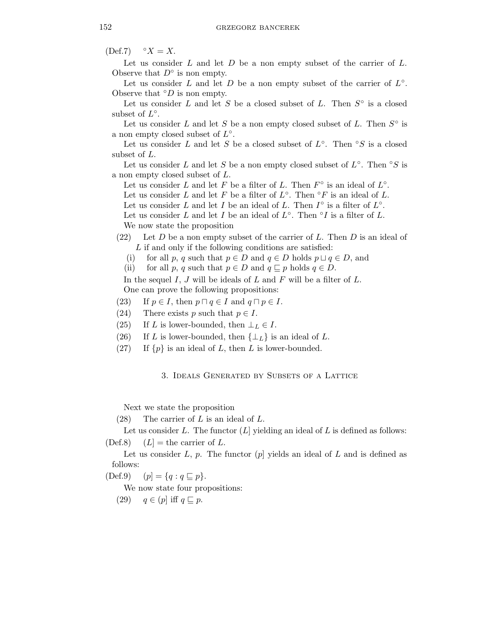$(Def.7) \quad \text{°} X = X.$ 

Let us consider  $L$  and let  $D$  be a non empty subset of the carrier of  $L$ . Observe that  $D^{\circ}$  is non empty.

Let us consider L and let D be a non empty subset of the carrier of  $L^{\circ}$ . Observe that  $\mathcal{O}D$  is non empty.

Let us consider L and let S be a closed subset of L. Then  $S^{\circ}$  is a closed subset of  $L^{\circ}$ .

Let us consider L and let S be a non empty closed subset of L. Then  $S^{\circ}$  is a non empty closed subset of  $L^{\circ}$ .

Let us consider L and let S be a closed subset of  $L^{\circ}$ . Then  $\circ S$  is a closed subset of L.

Let us consider L and let S be a non empty closed subset of  $L^{\circ}$ . Then  $\circ S$  is a non empty closed subset of L.

Let us consider L and let F be a filter of L. Then  $F^{\circ}$  is an ideal of  $L^{\circ}$ .

Let us consider L and let F be a filter of  $L^{\circ}$ . Then  $\circ$ F is an ideal of L.

Let us consider L and let I be an ideal of L. Then  $I^{\circ}$  is a filter of  $L^{\circ}$ .

Let us consider L and let I be an ideal of  $L^{\circ}$ . Then  $\circ I$  is a filter of L. We now state the proposition

- (22) Let D be a non empty subset of the carrier of L. Then D is an ideal of L if and only if the following conditions are satisfied:
	- (i) for all p, q such that  $p \in D$  and  $q \in D$  holds  $p \sqcup q \in D$ , and
	- (ii) for all p, q such that  $p \in D$  and  $q \sqsubseteq p$  holds  $q \in D$ .

In the sequel  $I, J$  will be ideals of  $L$  and  $F$  will be a filter of  $L$ . One can prove the following propositions:

- (23) If  $p \in I$ , then  $p \sqcap q \in I$  and  $q \sqcap p \in I$ .
- (24) There exists p such that  $p \in I$ .
- (25) If L is lower-bounded, then  $\bot_L \in I$ .
- (26) If L is lower-bounded, then  $\{\perp_L\}$  is an ideal of L.
- (27) If  $\{p\}$  is an ideal of L, then L is lower-bounded.

# 3. Ideals Generated by Subsets of a Lattice

Next we state the proposition

 $(28)$  The carrier of L is an ideal of L.

Let us consider  $L$ . The functor  $(L)$  yielding an ideal of  $L$  is defined as follows: (Def.8)  $(L)$  = the carrier of L.

Let us consider L, p. The functor  $(p)$  yields an ideal of L and is defined as follows:

(Def.9)  $(p] = \{q : q \sqsubseteq p\}.$ 

We now state four propositions:

(29)  $q \in (p]$  iff  $q \sqsubseteq p$ .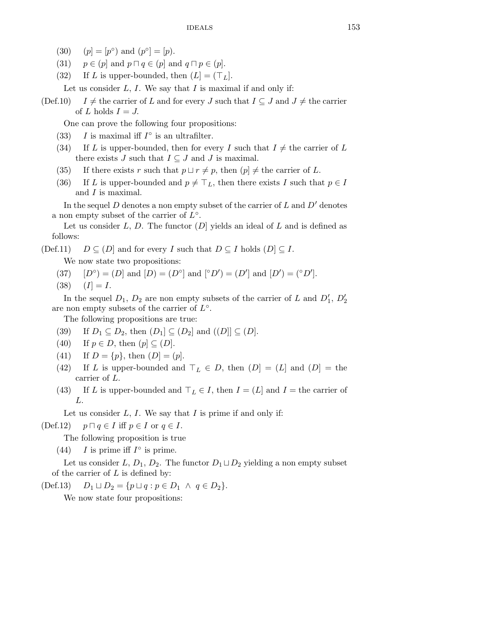- (30)  $(p] = [p^{\circ})$  and  $(p^{\circ}] = [p)$ .
- (31)  $p \in (p]$  and  $p \sqcap q \in (p]$  and  $q \sqcap p \in (p]$ .
- (32) If L is upper-bounded, then  $(L] = (\top_L)$ .

Let us consider  $L, I$ . We say that  $I$  is maximal if and only if:

(Def.10) I  $\neq$  the carrier of L and for every J such that  $I \subseteq J$  and  $J \neq$  the carrier of L holds  $I = J$ .

One can prove the following four propositions:

- (33) I is maximal iff  $I^{\circ}$  is an ultrafilter.
- (34) If L is upper-bounded, then for every I such that  $I \neq$  the carrier of L there exists J such that  $I \subseteq J$  and J is maximal.
- (35) If there exists r such that  $p \sqcup r \neq p$ , then  $(p) \neq$  the carrier of L.
- (36) If L is upper-bounded and  $p \neq \top_L$ , then there exists I such that  $p \in I$ and I is maximal.

In the sequel D denotes a non empty subset of the carrier of  $L$  and  $D'$  denotes a non empty subset of the carrier of  $\overrightarrow{L}^{\circ}$ .

Let us consider  $L, D$ . The functor  $(D)$  yields an ideal of  $L$  and is defined as follows:

 $(Def.11)$   $D \subseteq (D)$  and for every I such that  $D \subseteq I$  holds  $(D) \subseteq I$ .

We now state two propositions:

- (37)  $[D^{\circ}] = (D]$  and  $[D] = (D^{\circ}]$  and  $[{}^{\circ}D'$  =  $(D']$  and  $[D'] = ({}^{\circ}D']$ .
- $(38)$   $(I) = I$ .

In the sequel  $D_1, D_2$  are non empty subsets of the carrier of L and  $D'_1, D'_2$ are non empty subsets of the carrier of  $L^{\circ}$ .

The following propositions are true:

- (39) If  $D_1 \subseteq D_2$ , then  $(D_1] \subseteq (D_2]$  and  $((D)| \subseteq (D)$ .
- (40) If  $p \in D$ , then  $(p] \subseteq (D)$ .
- (41) If  $D = \{p\}$ , then  $(D] = (p]$ .
- (42) If L is upper-bounded and  $\top_L \in D$ , then  $(D] = (L]$  and  $(D] =$  the carrier of L.
- (43) If L is upper-bounded and  $\top_L \in I$ , then  $I = (L]$  and  $I =$  the carrier of L.

Let us consider  $L, I$ . We say that  $I$  is prime if and only if:

(Def.12)  $p \sqcap q \in I$  iff  $p \in I$  or  $q \in I$ .

The following proposition is true

(44) I is prime iff  $I^{\circ}$  is prime.

Let us consider L,  $D_1, D_2$ . The functor  $D_1 \sqcup D_2$  yielding a non empty subset of the carrier of  $L$  is defined by:

 $(\text{Def.13}) \quad D_1 \sqcup D_2 = \{p \sqcup q : p \in D_1 \land q \in D_2\}.$ 

We now state four propositions: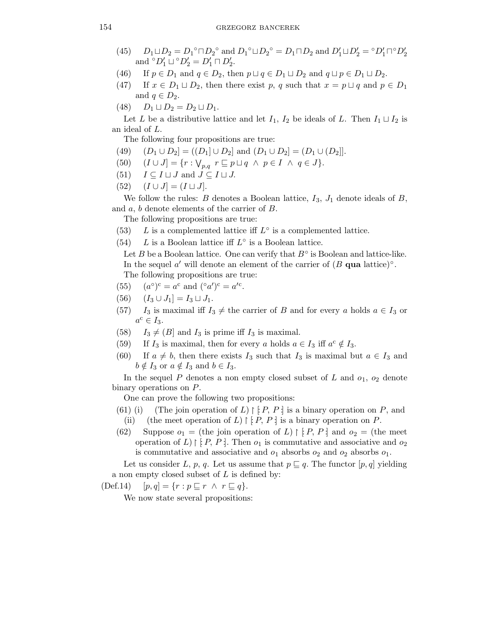- (45)  $D_1 \sqcup D_2 = D_1^{\circ} \sqcap D_2^{\circ}$  and  $D_1^{\circ} \sqcup D_2^{\circ} = D_1 \sqcap D_2$  and  $D'_1 \sqcup D'_2 = {}^{\circ}D'_1 \sqcap {}^{\circ}D'_2$ and  $^{\circ}D'_1 \sqcup ^{\circ}D'_2 = D'_1 \sqcap D'_2$ .
- (46) If  $p \in D_1$  and  $q \in D_2$ , then  $p \sqcup q \in D_1 \sqcup D_2$  and  $q \sqcup p \in D_1 \sqcup D_2$ .
- (47) If  $x \in D_1 \sqcup D_2$ , then there exist p, q such that  $x = p \sqcup q$  and  $p \in D_1$ and  $q \in D_2$ .
- (48)  $D_1 \sqcup D_2 = D_2 \sqcup D_1.$

Let L be a distributive lattice and let  $I_1$ ,  $I_2$  be ideals of L. Then  $I_1 \sqcup I_2$  is an ideal of L.

The following four propositions are true:

- (49)  $(D_1 \cup D_2) = ((D_1] \cup D_2)$  and  $(D_1 \cup D_2) = (D_1 \cup (D_2))$ .
- (50)  $(I \cup J] = \{r : \bigvee_{p,q} r \sqsubseteq p \sqcup q \land p \in I \land q \in J\}.$
- (51)  $I \subseteq I \sqcup J$  and  $J \subseteq I \sqcup J$ .
- (52)  $(I \cup J] = (I \sqcup J).$

We follow the rules: B denotes a Boolean lattice,  $I_3$ ,  $J_1$  denote ideals of B, and a, b denote elements of the carrier of B.

The following propositions are true:

- (53) L is a complemented lattice iff  $L^{\circ}$  is a complemented lattice.
- (54) L is a Boolean lattice iff  $L^{\circ}$  is a Boolean lattice.

Let B be a Boolean lattice. One can verify that  $B^{\circ}$  is Boolean and lattice-like. In the sequel  $a'$  will denote an element of the carrier of  $(B$  qua lattice)°. The following propositions are true:

- $(55)$ °)<sup>c</sup> =  $a^c$  and  $({^\circ}a')^c = a'^c$ .
- (56)  $(I_3 \cup J_1] = I_3 \sqcup J_1.$
- (57) I<sub>3</sub> is maximal iff  $I_3 \neq$  the carrier of B and for every a holds  $a \in I_3$  or  $a^{\text{c}} \in I_3.$
- (58)  $I_3 \neq (B]$  and  $I_3$  is prime iff  $I_3$  is maximal.
- (59) If  $I_3$  is maximal, then for every a holds  $a \in I_3$  iff  $a^c \notin I_3$ .
- (60) If  $a \neq b$ , then there exists  $I_3$  such that  $I_3$  is maximal but  $a \in I_3$  and  $b \notin I_3$  or  $a \notin I_3$  and  $b \in I_3$ .

In the sequel P denotes a non empty closed subset of L and  $o_1$ ,  $o_2$  denote binary operations on P.

One can prove the following two propositions:

- (61) (i) (The join operation of L)  $\restriction [P, P]$  is a binary operation on P, and (ii) (the meet operation of L)  $\restriction$  P, P is a binary operation on P.
- (62) Suppose  $o_1 =$  (the join operation of L)  $\restriction [P, P]$  and  $o_2 =$  (the meet operation of L)  $\restriction$  [ $P, P$ ]. Then  $o_1$  is commutative and associative and  $o_2$ is commutative and associative and  $o_1$  absorbs  $o_2$  and  $o_2$  absorbs  $o_1$ .

Let us consider L, p, q. Let us assume that  $p \sqsubseteq q$ . The functor  $[p,q]$  yielding a non empty closed subset of  $L$  is defined by:

$$
(Def.14) \quad [p,q] = \{r : p \sqsubseteq r \land r \sqsubseteq q\}.
$$

We now state several propositions: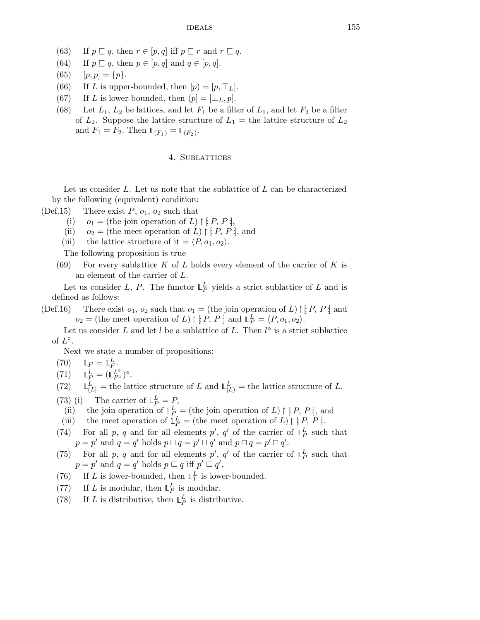- (63) If  $p \sqsubseteq q$ , then  $r \in [p,q]$  iff  $p \sqsubseteq r$  and  $r \sqsubseteq q$ .
- (64) If  $p \sqsubseteq q$ , then  $p \in [p,q]$  and  $q \in [p,q]$ .
- (65)  $[p, p] = \{p\}.$
- (66) If L is upper-bounded, then  $[p] = [p, \top_L]$ .
- (67) If L is lower-bounded, then  $(p] = [\perp_L, p]$ .
- (68) Let  $L_1, L_2$  be lattices, and let  $F_1$  be a filter of  $L_1$ , and let  $F_2$  be a filter of  $L_2$ . Suppose the lattice structure of  $L_1$  = the lattice structure of  $L_2$ and  $F_1 = F_2$ . Then  $\mathbb{L}_{(F_1)} = \mathbb{L}_{(F_2)}$ .

## 4. Sublattices

Let us consider  $L$ . Let us note that the sublattice of  $L$  can be characterized by the following (equivalent) condition:

- (Def.15) There exist  $P$ ,  $o_1$ ,  $o_2$  such that
	- (i)  $o_1 =$  (the join operation of L)  $\restriction [P, P]$ ,
	- (ii)  $o_2 =$  (the meet operation of L)  $\restriction [P, P]$ , and
	- (iii) the lattice structure of it =  $\langle P, o_1, o_2 \rangle$ .

The following proposition is true

(69) For every sublattice K of L holds every element of the carrier of K is an element of the carrier of L.

Let us consider L, P. The functor  $\mathbb{L}_P^L$  yields a strict sublattice of L and is defined as follows:

(Def.16) There exist  $o_1$ ,  $o_2$  such that  $o_1 =$  (the join operation of L)  $\restriction [P, P]$  and  $o_2$  = (the meet operation of L) | [P, P] and  $\mathbb{L}_P^L = \langle P, o_1, o_2 \rangle$ .

Let us consider L and let l be a sublattice of L. Then  $l^{\circ}$  is a strict sublattice of  $L^{\circ}$ .

Next we state a number of propositions:

- (70)  $\mathbb{L}_F = \mathbb{L}_F^L$ .
- $(71)$  $_{P}^{L}=(\mathbb{L}_{P^{\circ}}^{L^{\circ}})^{\circ}.$
- $(72)$  $L(L)$  = the lattice structure of L and  $\mathbb{L}_{L}^{L}$  = the lattice structure of L.
- (73) (i) The carrier of  $L_P^L = P$ ,
- (ii) the join operation of  $\mathbb{L}_{P}^L$  = (the join operation of L) | [P, P], and
- (iii) the meet operation of  $\mathbb{L}_P^L$  = (the meet operation of L) | [P, P].
- (74) For all p, q and for all elements p', q' of the carrier of  $\mathbb{L}_P^L$  such that  $p = p'$  and  $q = q'$  holds  $p \sqcup q = p' \sqcup q'$  and  $p \sqcap q = p' \sqcap q'$ .
- (75) For all p, q and for all elements p', q' of the carrier of  $\mathbb{L}_P^L$  such that  $p = p'$  and  $q = q'$  holds  $p \sqsubseteq q$  iff  $p' \sqsubseteq q'$ .
- (76) If L is lower-bounded, then  $\mathbb{L}_I^L$  is lower-bounded.
- (77) If L is modular, then  $\mathbb{L}_P^L$  is modular.
- (78) If L is distributive, then  $\mathbb{L}_P^L$  is distributive.